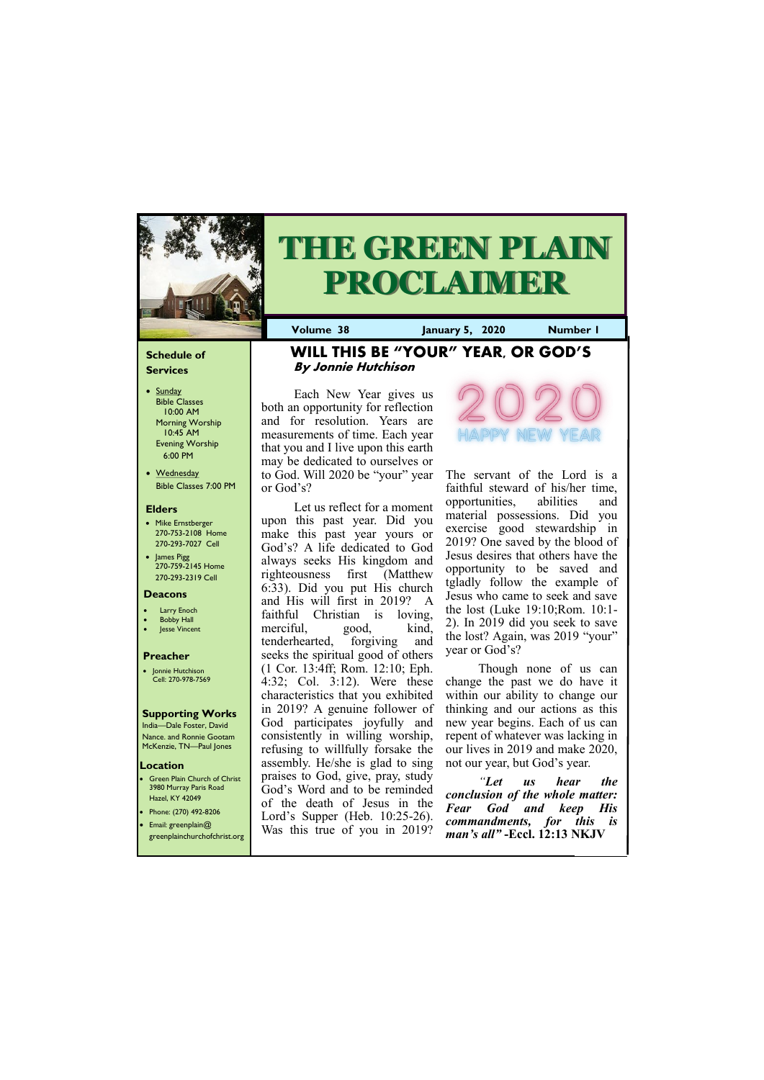#### **Schedule of Services**

- Sunday Bible Classes 10:00 AM Morning Worship 10:45 AM Evening Worship 6:00 PM
- Wednesday Bible Classes 7:00 PM

#### **Elders**

- Mike Ernstberger 270-753-2108 Home 270-293-7027 Cell
- James Pigg 270-759-2145 Home 270-293-2319 Cell



# **THE GREEN PLAIN PROCLAIMER**

#### **Location**

3980 Murray Paris Road Hazel, KY 42049

**Volume 38 January 5, 2020 Number 1**

#### **Deacons**

- **Larry Enoch**
- **Bobby Hall**
- **Jesse Vincent**

#### **Preacher**

• Jonnie Hutchison Cell: 270-978-7569

#### **Supporting Works**

India—Dale Foster, David Nance. and Ronnie Gootam McKenzie, TN—Paul Jones

### **WILL THIS BE "YOUR" YEAR, OR GOD'S By Jonnie Hutchison**

Each New Year gives us both an opportunity for reflection and for resolution. Years are measurements of time. Each year that you and I live upon this earth may be dedicated to ourselves or to God. Will 2020 be "your" year or God's?

The servant of the Lord is a faithful steward of his/her time, opportunities, abilities and material possessions. Did you exercise good stewardship in 2019? One saved by the blood of Jesus desires that others have the opportunity to be saved and tgladly follow the example of Jesus who came to seek and save the lost (Luke 19:10;Rom. 10:1- 2). In 2019 did you seek to save the lost? Again, was 2019 "your" year or God's?

**Green Plain Church of Christ** • Phone: (270) 492-8206 • Email: greenplain@ greenplainchurchofchrist.org God's Word and to be reminded of the death of Jesus in the Lord's Supper (Heb. 10:25-26). Was this true of you in 2019? *"Let us hear the conclusion of the whole matter: Fear God and keep His commandments, for this is man's all"* **-Eccl. 12:13 NKJV**

Let us reflect for a moment upon this past year. Did you make this past year yours or God's? A life dedicated to God always seeks His kingdom and righteousness first (Matthew 6:33). Did you put His church and His will first in 2019? A faithful Christian is loving, merciful, good, kind, tenderhearted, forgiving and seeks the spiritual good of others (1 Cor. 13:4ff; Rom. 12:10; Eph. 4:32; Col. 3:12). Were these characteristics that you exhibited in 2019? A genuine follower of God participates joyfully and consistently in willing worship, refusing to willfully forsake the assembly. He/she is glad to sing praises to God, give, pray, study



Though none of us can change the past we do have it within our ability to change our thinking and our actions as this new year begins. Each of us can repent of whatever was lacking in our lives in 2019 and make 2020, not our year, but God's year.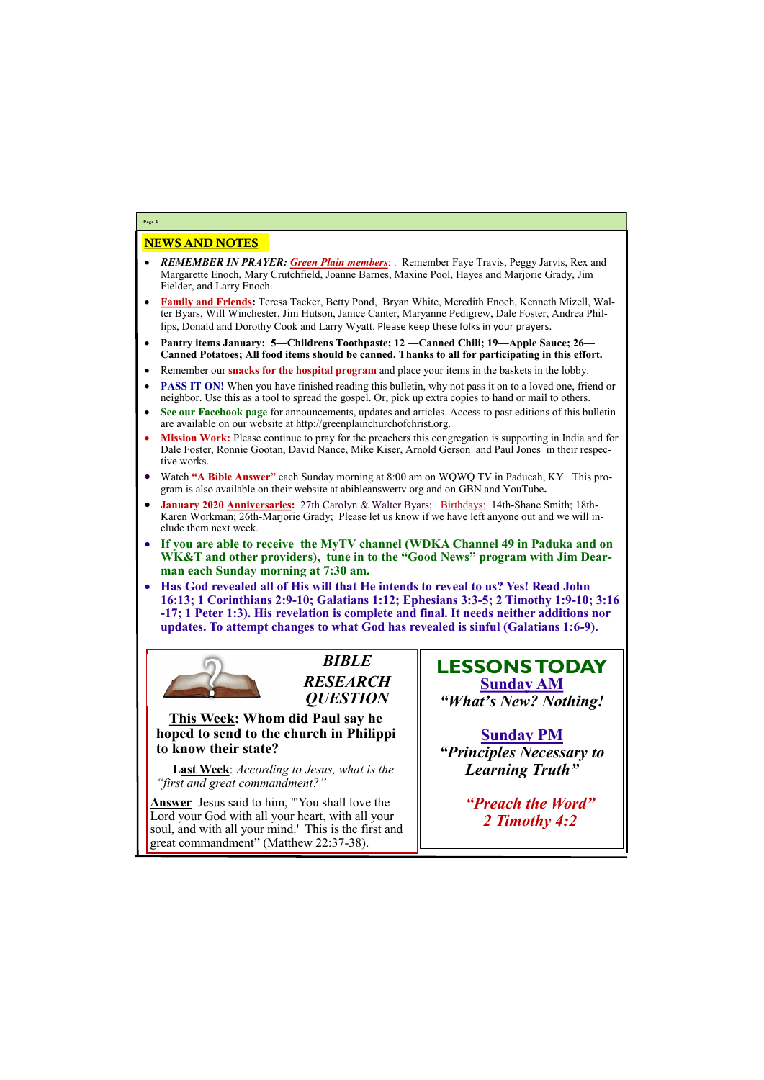## NEWS AND NOTES

- *REMEMBER IN PRAYER: Green Plain members*: . Remember Faye Travis, Peggy Jarvis, Rex and Margarette Enoch, Mary Crutchfield, Joanne Barnes, Maxine Pool, Hayes and Marjorie Grady, Jim Fielder, and Larry Enoch.
- **Family and Friends:** Teresa Tacker, Betty Pond, Bryan White, Meredith Enoch, Kenneth Mizell, Walter Byars, Will Winchester, Jim Hutson, Janice Canter, Maryanne Pedigrew, Dale Foster, Andrea Phillips, Donald and Dorothy Cook and Larry Wyatt. Please keep these folks in your prayers.
- **Pantry items January: 5—Childrens Toothpaste; 12 —Canned Chili; 19—Apple Sauce; 26— Canned Potatoes; All food items should be canned. Thanks to all for participating in this effort.**
- Remember our **snacks for the hospital program** and place your items in the baskets in the lobby.
- **PASS IT ON!** When you have finished reading this bulletin, why not pass it on to a loved one, friend or neighbor. Use this as a tool to spread the gospel. Or, pick up extra copies to hand or mail to others.
- **See our Facebook page** for announcements, updates and articles. Access to past editions of this bulletin are available on our website at http://greenplainchurchofchrist.org.
- **Mission Work:** Please continue to pray for the preachers this congregation is supporting in India and for Dale Foster, Ronnie Gootan, David Nance, Mike Kiser, Arnold Gerson and Paul Jones in their respective works.
- Watch **"A Bible Answer"** each Sunday morning at 8:00 am on WQWQ TV in Paducah, KY. This program is also available on their website at abibleanswertv.org and on GBN and YouTube**.**
- **January 2020 Anniversaries:** 27th Carolyn & Walter Byars; Birthdays: 14th-Shane Smith; 18th-Karen Workman; 26th-Marjorie Grady; Please let us know if we have left anyone out and we will include them next week.
- **If you are able to receive the MyTV channel (WDKA Channel 49 in Paduka and on WK&T and other providers), tune in to the "Good News" program with Jim Dearman each Sunday morning at 7:30 am.**
- **Has God revealed all of His will that He intends to reveal to us? Yes! Read John 16:13; 1 Corinthians 2:9-10; Galatians 1:12; Ephesians 3:3-5; 2 Timothy 1:9-10; 3:16 -17; 1 Peter 1:3). His revelation is complete and final. It needs neither additions nor updates. To attempt changes to what God has revealed is sinful (Galatians 1:6-9).**



**Page 2**

*BIBLE RESEARCH QUESTION*

**This Week: Whom did Paul say he hoped to send to the church in Philippi to know their state?**

**Last Week**: *According to Jesus, what is the "first and great commandment?"*

**Answer** Jesus said to him, "'You shall love the Lord your God with all your heart, with all your soul, and with all your mind.' This is the first and great commandment" (Matthew 22:37-38).

# **LESSONS TODAY Sunday AM** *"What's New? Nothing!*

**Sunday PM** *"Principles Necessary to Learning Truth"*

*"Preach the Word"*

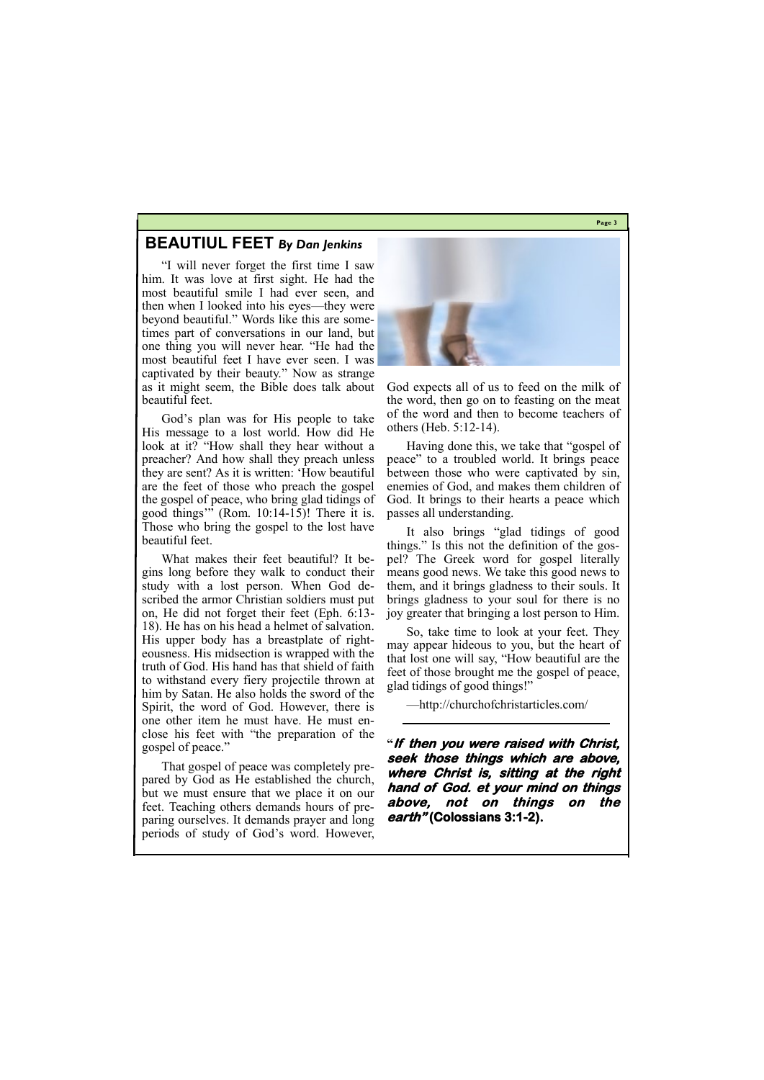**Page 3**

## **BEAUTIUL FEET** *By Dan Jenkins*

"I will never forget the first time I saw him. It was love at first sight. He had the most beautiful smile I had ever seen, and then when I looked into his eyes—they were beyond beautiful." Words like this are sometimes part of conversations in our land, but one thing you will never hear. "He had the most beautiful feet I have ever seen. I was captivated by their beauty." Now as strange as it might seem, the Bible does talk about beautiful feet.

God's plan was for His people to take His message to a lost world. How did He look at it? "How shall they hear without a preacher? And how shall they preach unless they are sent? As it is written: 'How beautiful are the feet of those who preach the gospel the gospel of peace, who bring glad tidings of good things'" (Rom. 10:14-15)! There it is. Those who bring the gospel to the lost have beautiful feet.

What makes their feet beautiful? It begins long before they walk to conduct their study with a lost person. When God described the armor Christian soldiers must put on, He did not forget their feet (Eph. 6:13- 18). He has on his head a helmet of salvation. His upper body has a breastplate of righteousness. His midsection is wrapped with the truth of God. His hand has that shield of faith to withstand every fiery projectile thrown at him by Satan. He also holds the sword of the Spirit, the word of God. However, there is one other item he must have. He must enclose his feet with "the preparation of the gospel of peace."

That gospel of peace was completely prepared by God as He established the church, but we must ensure that we place it on our feet. Teaching others demands hours of pre-



paring ourselves. It demands prayer and long periods of study of God's word. However,

God expects all of us to feed on the milk of the word, then go on to feasting on the meat of the word and then to become teachers of others (Heb. 5:12-14).

Having done this, we take that "gospel of peace" to a troubled world. It brings peace between those who were captivated by sin, enemies of God, and makes them children of God. It brings to their hearts a peace which passes all understanding.

It also brings "glad tidings of good things." Is this not the definition of the gospel? The Greek word for gospel literally means good news. We take this good news to them, and it brings gladness to their souls. It brings gladness to your soul for there is no joy greater that bringing a lost person to Him.

So, take time to look at your feet. They may appear hideous to you, but the heart of that lost one will say, "How beautiful are the feet of those brought me the gospel of peace, glad tidings of good things!"

—http://churchofchristarticles.com/

**"If then you were raised with Christ, seek those things which are above, where Christ is, sitting at the right hand of God. et your mind on things above, not on things on the** 

#### **earth" (Colossians 3:1-2).**